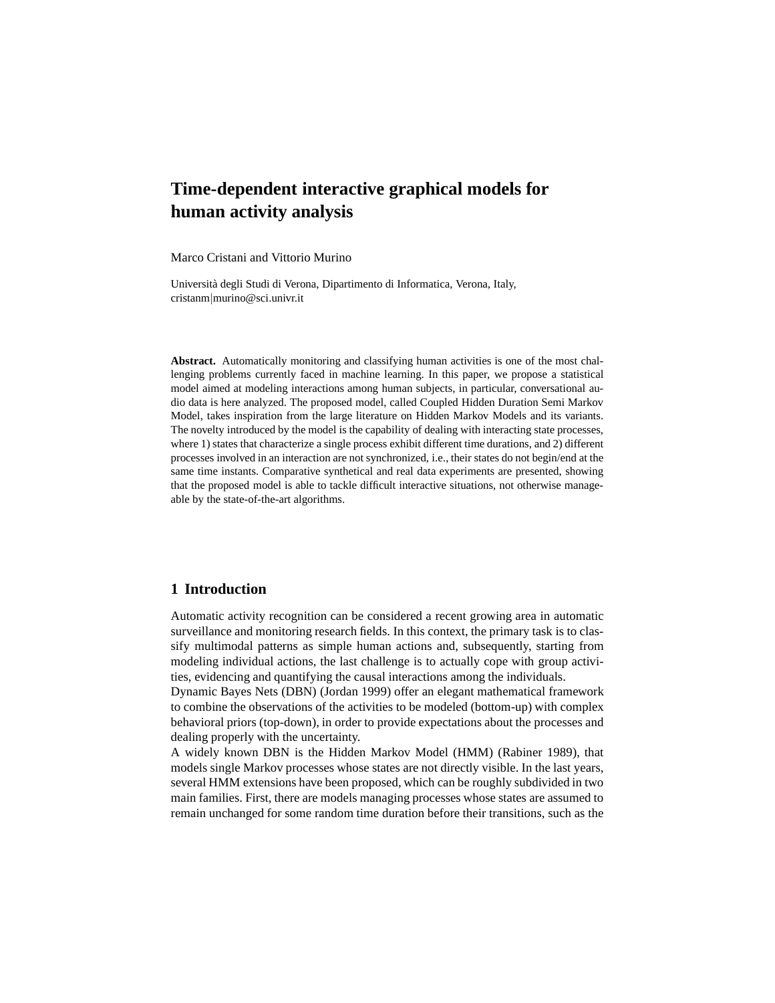# **Time-dependent interactive graphical models for human activity analysis**

Marco Cristani and Vittorio Murino

Universit`a degli Studi di Verona, Dipartimento di Informatica, Verona, Italy, cristanm|murino@sci.univr.it

**Abstract.** Automatically monitoring and classifying human activities is one of the most challenging problems currently faced in machine learning. In this paper, we propose a statistical model aimed at modeling interactions among human subjects, in particular, conversational audio data is here analyzed. The proposed model, called Coupled Hidden Duration Semi Markov Model, takes inspiration from the large literature on Hidden Markov Models and its variants. The novelty introduced by the model is the capability of dealing with interacting state processes, where 1) states that characterize a single process exhibit different time durations, and 2) different processes involved in an interaction are not synchronized, i.e., their states do not begin/end at the same time instants. Comparative synthetical and real data experiments are presented, showing that the proposed model is able to tackle difficult interactive situations, not otherwise manageable by the state-of-the-art algorithms.

# **1 Introduction**

Automatic activity recognition can be considered a recent growing area in automatic surveillance and monitoring research fields. In this context, the primary task is to classify multimodal patterns as simple human actions and, subsequently, starting from modeling individual actions, the last challenge is to actually cope with group activities, evidencing and quantifying the causal interactions among the individuals.

Dynamic Bayes Nets (DBN) (Jordan 1999) offer an elegant mathematical framework to combine the observations of the activities to be modeled (bottom-up) with complex behavioral priors (top-down), in order to provide expectations about the processes and dealing properly with the uncertainty.

A widely known DBN is the Hidden Markov Model (HMM) (Rabiner 1989), that models single Markov processes whose states are not directly visible. In the last years, several HMM extensions have been proposed, which can be roughly subdivided in two main families. First, there are models managing processes whose states are assumed to remain unchanged for some random time duration before their transitions, such as the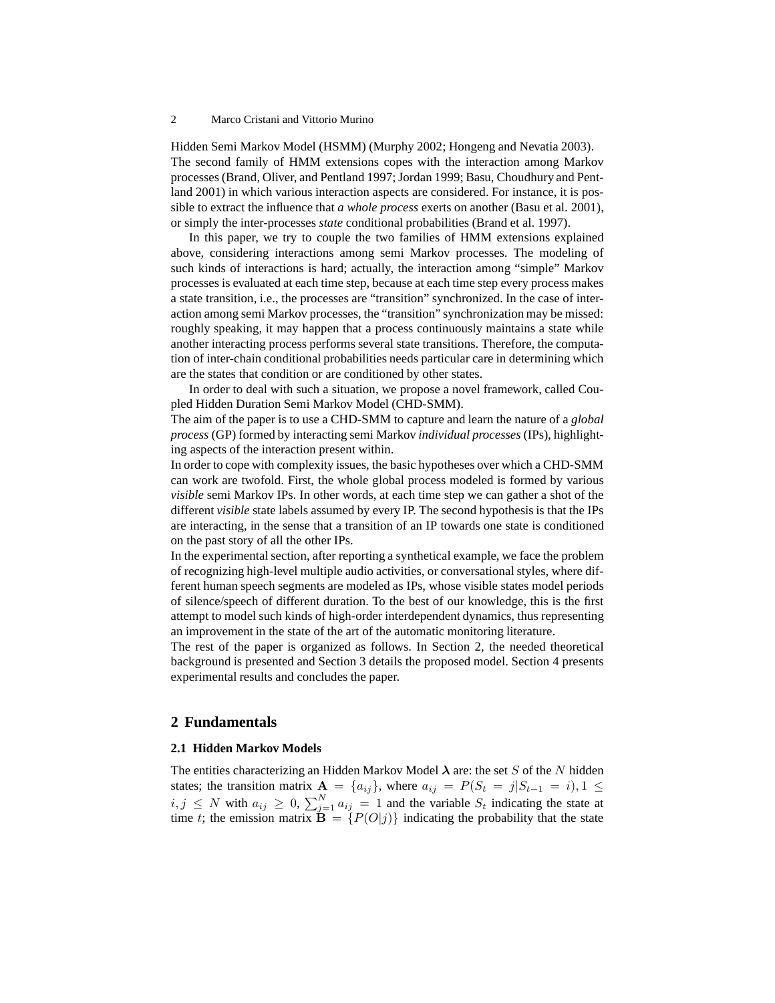#### 2 Marco Cristani and Vittorio Murino

Hidden Semi Markov Model (HSMM) (Murphy 2002; Hongeng and Nevatia 2003). The second family of HMM extensions copes with the interaction among Markov processes (Brand, Oliver, and Pentland 1997; Jordan 1999; Basu, Choudhury and Pentland 2001) in which various interaction aspects are considered. For instance, it is possible to extract the influence that *a whole process* exerts on another (Basu et al. 2001), or simply the inter-processes *state* conditional probabilities (Brand et al. 1997).

In this paper, we try to couple the two families of HMM extensions explained above, considering interactions among semi Markov processes. The modeling of such kinds of interactions is hard; actually, the interaction among "simple" Markov processes is evaluated at each time step, because at each time step every process makes a state transition, i.e., the processes are "transition" synchronized. In the case of interaction among semi Markov processes, the "transition" synchronization may be missed: roughly speaking, it may happen that a process continuously maintains a state while another interacting process performs several state transitions. Therefore, the computation of inter-chain conditional probabilities needs particular care in determining which are the states that condition or are conditioned by other states.

In order to deal with such a situation, we propose a novel framework, called Coupled Hidden Duration Semi Markov Model (CHD-SMM).

The aim of the paper is to use a CHD-SMM to capture and learn the nature of a *global process* (GP) formed by interacting semi Markov *individual processes* (IPs), highlighting aspects of the interaction present within.

In order to cope with complexity issues, the basic hypotheses over which a CHD-SMM can work are twofold. First, the whole global process modeled is formed by various *visible* semi Markov IPs. In other words, at each time step we can gather a shot of the different *visible* state labels assumed by every IP. The second hypothesis is that the IPs are interacting, in the sense that a transition of an IP towards one state is conditioned on the past story of all the other IPs.

In the experimental section, after reporting a synthetical example, we face the problem of recognizing high-level multiple audio activities, or conversational styles, where different human speech segments are modeled as IPs, whose visible states model periods of silence/speech of different duration. To the best of our knowledge, this is the first attempt to model such kinds of high-order interdependent dynamics, thus representing an improvement in the state of the art of the automatic monitoring literature.

The rest of the paper is organized as follows. In Section 2, the needed theoretical background is presented and Section 3 details the proposed model. Section 4 presents experimental results and concludes the paper.

## **2 Fundamentals**

#### **2.1 Hidden Markov Models**

The entities characterizing an Hidden Markov Model  $\lambda$  are: the set S of the N hidden states; the transition matrix  $\mathbf{A} = \{a_{ij}\}\$ , where  $a_{ij} = P(S_t = j | S_{t-1} = i), 1 \leq j \leq t-1$  $i, j \leq N$  with  $a_{ij} \geq 0$ ,  $\sum_{j=1}^{N} a_{ij} = 1$  and the variable  $S_t$  indicating the state at time t; the emission matrix  $\overline{\mathbf{B}} = \{P(O|j)\}\$ indicating the probability that the state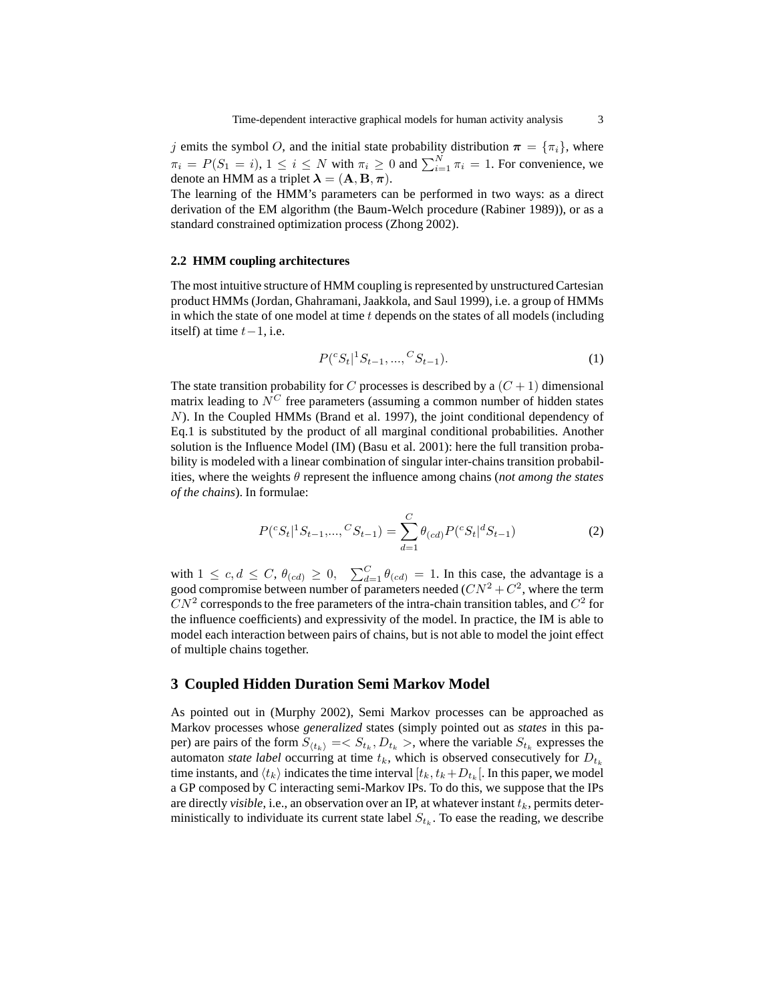j emits the symbol O, and the initial state probability distribution  $\pi = {\pi_i}$ , where  $\pi_i = P(S_1 = i), 1 \le i \le N$  with  $\pi_i \ge 0$  and  $\sum_{i=1}^{N} \pi_i = 1$ . For convenience, we denote an HMM as a triplet  $\lambda = (A, B, \pi)$ .

The learning of the HMM's parameters can be performed in two ways: as a direct derivation of the EM algorithm (the Baum-Welch procedure (Rabiner 1989)), or as a standard constrained optimization process (Zhong 2002).

#### **2.2 HMM coupling architectures**

The most intuitive structure of HMM coupling is represented by unstructured Cartesian product HMMs (Jordan, Ghahramani, Jaakkola, and Saul 1999), i.e. a group of HMMs in which the state of one model at time  $t$  depends on the states of all models (including itself) at time  $t-1$ , i.e.

$$
P({}^cS_t | {}^1S_{t-1}, ..., {}^CS_{t-1}).
$$
\n(1)

The state transition probability for C processes is described by a  $(C + 1)$  dimensional matrix leading to  $N^C$  free parameters (assuming a common number of hidden states N). In the Coupled HMMs (Brand et al. 1997), the joint conditional dependency of Eq.1 is substituted by the product of all marginal conditional probabilities. Another solution is the Influence Model (IM) (Basu et al. 2001): here the full transition probability is modeled with a linear combination of singular inter-chains transition probabilities, where the weights θ represent the influence among chains (*not among the states of the chains*). In formulae:

$$
P({}^cS_t|{}^1S_{t-1},...,{}^CS_{t-1}) = \sum_{d=1}^C \theta_{(cd)} P({}^cS_t|{}^dS_{t-1})
$$
\n(2)

with  $1 \leq c, d \leq C, \theta_{(cd)} \geq 0, \sum_{d=1}^{C} \theta_{(cd)} = 1$ . In this case, the advantage is a good compromise between number of parameters needed  $(CN^2 + C^2)$ , where the term  $CN^2$  corresponds to the free parameters of the intra-chain transition tables, and  $C^2$  for the influence coefficients) and expressivity of the model. In practice, the IM is able to model each interaction between pairs of chains, but is not able to model the joint effect of multiple chains together.

### **3 Coupled Hidden Duration Semi Markov Model**

As pointed out in (Murphy 2002), Semi Markov processes can be approached as Markov processes whose *generalized* states (simply pointed out as *states* in this paper) are pairs of the form  $S_{(t_k)} = S_{t_k}, D_{t_k} >$ , where the variable  $S_{t_k}$  expresses the automaton *state label* occurring at time  $t_k$ , which is observed consecutively for  $D_{t_k}$ time instants, and  $\langle t_k\rangle$  indicates the time interval  $[t_k, t_k+D_{t_k}[$ . In this paper, we model a GP composed by C interacting semi-Markov IPs. To do this, we suppose that the IPs are directly *visible*, i.e., an observation over an IP, at whatever instant  $t_k$ , permits deterministically to individuate its current state label  $S_{t_k}$ . To ease the reading, we describe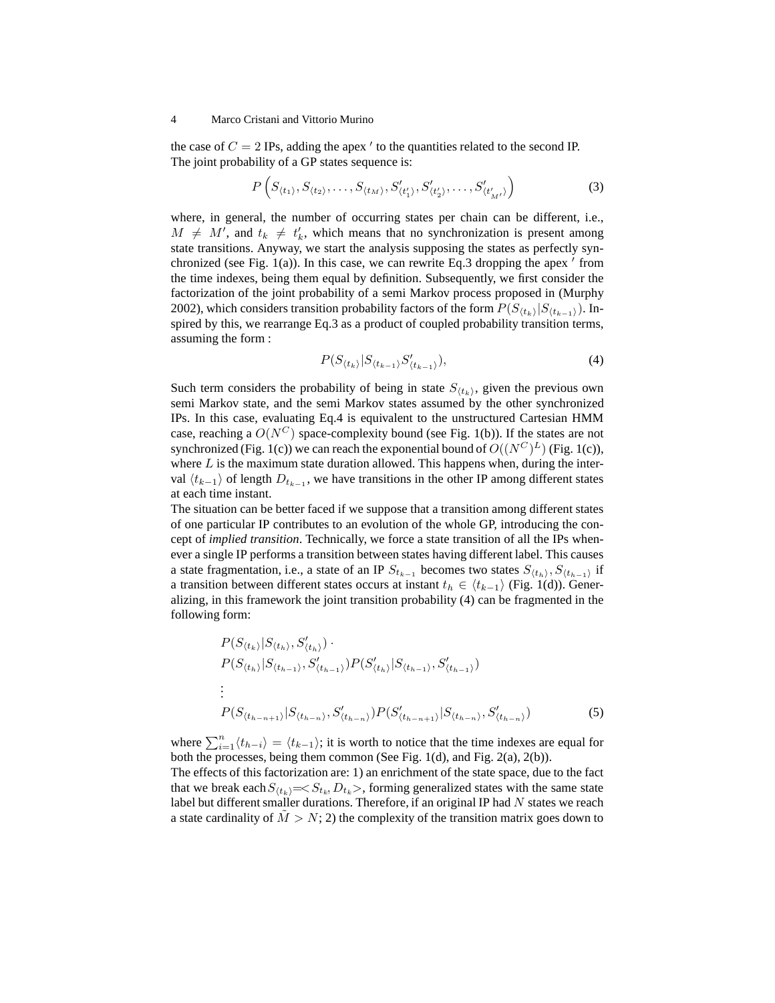#### 4 Marco Cristani and Vittorio Murino

the case of  $C = 2$  IPs, adding the apex  $\prime$  to the quantities related to the second IP. The joint probability of a GP states sequence is:

$$
P\left(S_{\langle t_1 \rangle}, S_{\langle t_2 \rangle}, \dots, S_{\langle t_M \rangle}, S'_{\langle t'_1 \rangle}, S'_{\langle t'_2 \rangle}, \dots, S'_{\langle t'_{M'} \rangle}\right) \tag{3}
$$

where, in general, the number of occurring states per chain can be different, i.e.,  $M \neq M'$ , and  $t_k \neq t'_k$ , which means that no synchronization is present among state transitions. Anyway, we start the analysis supposing the states as perfectly synchronized (see Fig.  $1(a)$ ). In this case, we can rewrite Eq.3 dropping the apex  $'$  from the time indexes, being them equal by definition. Subsequently, we first consider the factorization of the joint probability of a semi Markov process proposed in (Murphy 2002), which considers transition probability factors of the form  $P(S_{\langle t_k \rangle}|S_{\langle t_{k-1} \rangle})$ . Inspired by this, we rearrange Eq.3 as a product of coupled probability transition terms, assuming the form :

$$
P(S_{\langle t_k \rangle}|S_{\langle t_{k-1} \rangle}S_{\langle t_{k-1} \rangle}^{\prime}), \tag{4}
$$

Such term considers the probability of being in state  $S_{(t_k)}$ , given the previous own semi Markov state, and the semi Markov states assumed by the other synchronized IPs. In this case, evaluating Eq.4 is equivalent to the unstructured Cartesian HMM case, reaching a  $O(N^C)$  space-complexity bound (see Fig. 1(b)). If the states are not synchronized (Fig. 1(c)) we can reach the exponential bound of  $O((N^C)^L)$  (Fig. 1(c)), where  $L$  is the maximum state duration allowed. This happens when, during the interval  $\langle t_{k-1} \rangle$  of length  $D_{t_{k-1}}$ , we have transitions in the other IP among different states at each time instant.

The situation can be better faced if we suppose that a transition among different states of one particular IP contributes to an evolution of the whole GP, introducing the concept of *implied transition*. Technically, we force a state transition of all the IPs whenever a single IP performs a transition between states having different label. This causes a state fragmentation, i.e., a state of an IP  $S_{t_{k-1}}$  becomes two states  $S_{(t_h)}, S_{(t_{h-1})}$  if a transition between different states occurs at instant  $t_h \in \langle t_{k-1} \rangle$  (Fig. 1(d)). Generalizing, in this framework the joint transition probability (4) can be fragmented in the following form:

$$
P(S_{\langle t_{h} \rangle}|S_{\langle t_{h} \rangle}, S_{\langle t_{h} \rangle}') \cdot P(S_{\langle t_{h} \rangle}|S_{\langle t_{h-1} \rangle}, S_{\langle t_{h-1} \rangle}')P(S_{\langle t_{h} \rangle}|S_{\langle t_{h-1} \rangle}, S_{\langle t_{h-1} \rangle}')
$$
  
\n
$$
\vdots
$$
  
\n
$$
P(S_{\langle t_{h-n+1} \rangle}|S_{\langle t_{h-n} \rangle}, S_{\langle t_{h-n} \rangle}')P(S_{\langle t_{h-n+1} \rangle}|S_{\langle t_{h-n} \rangle}, S_{\langle t_{h-n} \rangle}') \qquad (5)
$$

where  $\sum_{i=1}^{n} \langle t_{h-i} \rangle = \langle t_{k-1} \rangle$ ; it is worth to notice that the time indexes are equal for both the processes, being them common (See Fig. 1(d), and Fig. 2(a), 2(b)).

The effects of this factorization are: 1) an enrichment of the state space, due to the fact that we break each  $S_{(t_k)} = \langle S_{t_k}, D_{t_k} \rangle$ , forming generalized states with the same state label but different smaller durations. Therefore, if an original IP had  $N$  states we reach a state cardinality of  $\tilde{M} > N$ ; 2) the complexity of the transition matrix goes down to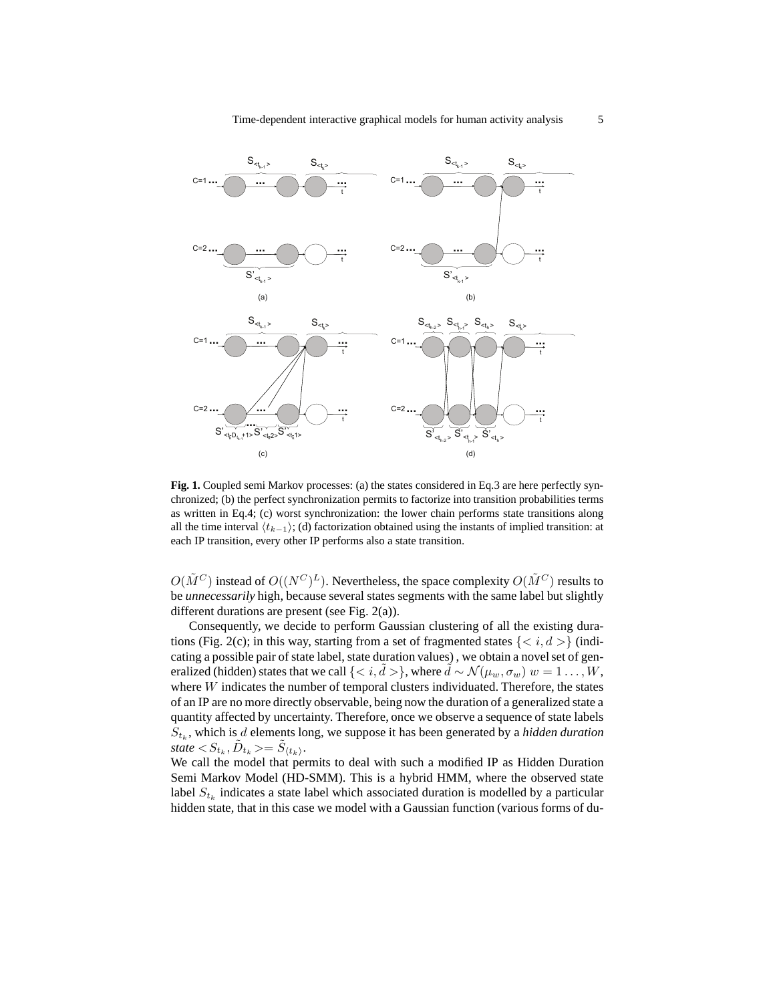

**Fig. 1.** Coupled semi Markov processes: (a) the states considered in Eq.3 are here perfectly synchronized; (b) the perfect synchronization permits to factorize into transition probabilities terms as written in Eq.4; (c) worst synchronization: the lower chain performs state transitions along all the time interval  $\langle t_{k-1} \rangle$ ; (d) factorization obtained using the instants of implied transition: at each IP transition, every other IP performs also a state transition.

 $O(\tilde{M}^C)$  instead of  $O((N^C)^L)$ . Nevertheless, the space complexity  $O(\tilde{M}^C)$  results to be *unnecessarily* high, because several states segments with the same label but slightly different durations are present (see Fig. 2(a)).

Consequently, we decide to perform Gaussian clustering of all the existing durations (Fig. 2(c); in this way, starting from a set of fragmented states  $\{\}$  (indicating a possible pair of state label, state duration values) , we obtain a novel set of generalized (hidden) states that we call  $\{ < i, d > \},$  where  $d \sim \mathcal{N}(\mu_w, \sigma_w)$   $w = 1 \dots, W$ , where W indicates the number of temporal clusters individuated. Therefore, the states of an IP are no more directly observable, being now the duration of a generalized state a quantity affected by uncertainty. Therefore, once we observe a sequence of state labels  $S_{t_k}$ , which is  $d$  elements long, we suppose it has been generated by a *hidden duration*  $state < S_{t_k}, \tilde{D}_{t_k} \geq \tilde{S}_{\langle t_k \rangle}.$ 

We call the model that permits to deal with such a modified IP as Hidden Duration Semi Markov Model (HD-SMM). This is a hybrid HMM, where the observed state label  $S_{t_k}$  indicates a state label which associated duration is modelled by a particular hidden state, that in this case we model with a Gaussian function (various forms of du-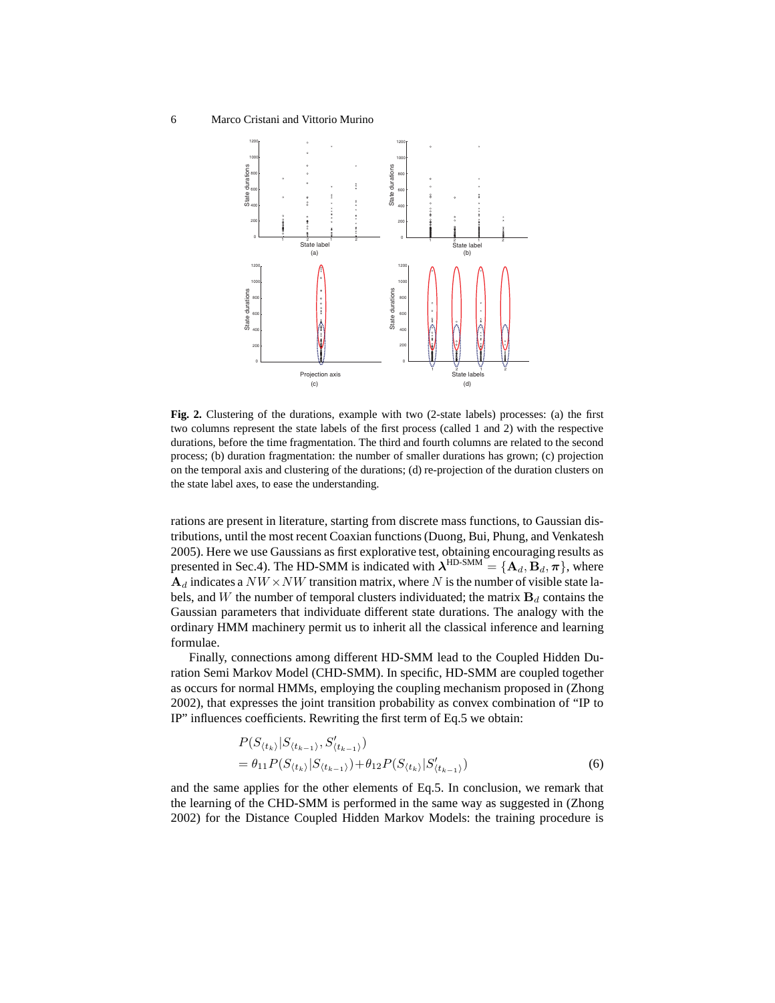

**Fig. 2.** Clustering of the durations, example with two (2-state labels) processes: (a) the first two columns represent the state labels of the first process (called 1 and 2) with the respective durations, before the time fragmentation. The third and fourth columns are related to the second process; (b) duration fragmentation: the number of smaller durations has grown; (c) projection on the temporal axis and clustering of the durations; (d) re-projection of the duration clusters on the state label axes, to ease the understanding.

rations are present in literature, starting from discrete mass functions, to Gaussian distributions, until the most recent Coaxian functions (Duong, Bui, Phung, and Venkatesh 2005). Here we use Gaussians as first explorative test, obtaining encouraging results as presented in Sec.4). The HD-SMM is indicated with  $\lambda^{\text{HD-SMM}} = {\mathbf{A}_d, \mathbf{B}_d, \pi}$ , where  $A_d$  indicates a  $NW \times NW$  transition matrix, where N is the number of visible state labels, and W the number of temporal clusters individuated; the matrix  $B_d$  contains the Gaussian parameters that individuate different state durations. The analogy with the ordinary HMM machinery permit us to inherit all the classical inference and learning formulae.

Finally, connections among different HD-SMM lead to the Coupled Hidden Duration Semi Markov Model (CHD-SMM). In specific, HD-SMM are coupled together as occurs for normal HMMs, employing the coupling mechanism proposed in (Zhong 2002), that expresses the joint transition probability as convex combination of "IP to IP" influences coefficients. Rewriting the first term of Eq.5 we obtain:

$$
P(S_{\langle t_k \rangle}|S_{\langle t_{k-1} \rangle}, S_{\langle t_{k-1} \rangle}')
$$
  
=  $\theta_{11} P(S_{\langle t_k \rangle}|S_{\langle t_{k-1} \rangle}) + \theta_{12} P(S_{\langle t_k \rangle}|S_{\langle t_{k-1} \rangle}')$  (6)

and the same applies for the other elements of Eq.5. In conclusion, we remark that the learning of the CHD-SMM is performed in the same way as suggested in (Zhong 2002) for the Distance Coupled Hidden Markov Models: the training procedure is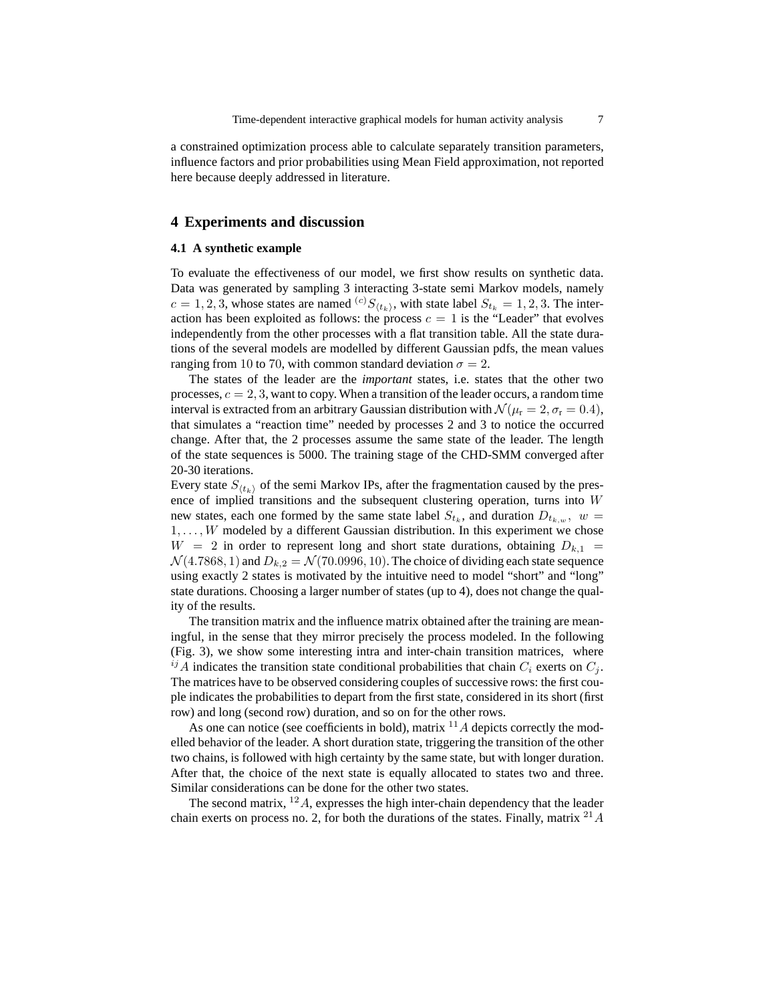a constrained optimization process able to calculate separately transition parameters, influence factors and prior probabilities using Mean Field approximation, not reported here because deeply addressed in literature.

# **4 Experiments and discussion**

#### **4.1 A synthetic example**

To evaluate the effectiveness of our model, we first show results on synthetic data. Data was generated by sampling 3 interacting 3-state semi Markov models, namely  $c = 1, 2, 3$ , whose states are named <sup>(c)</sup> $S_{(t_k)}$ , with state label  $S_{t_k} = 1, 2, 3$ . The interaction has been exploited as follows: the process  $c = 1$  is the "Leader" that evolves independently from the other processes with a flat transition table. All the state durations of the several models are modelled by different Gaussian pdfs, the mean values ranging from 10 to 70, with common standard deviation  $\sigma = 2$ .

The states of the leader are the *important* states, i.e. states that the other two processes,  $c = 2, 3$ , want to copy. When a transition of the leader occurs, a random time interval is extracted from an arbitrary Gaussian distribution with  $\mathcal{N}(\mu_{r} = 2, \sigma_{r} = 0.4)$ , that simulates a "reaction time" needed by processes 2 and 3 to notice the occurred change. After that, the 2 processes assume the same state of the leader. The length of the state sequences is 5000. The training stage of the CHD-SMM converged after 20-30 iterations.

Every state  $S_{(t_k)}$  of the semi Markov IPs, after the fragmentation caused by the presence of implied transitions and the subsequent clustering operation, turns into W new states, each one formed by the same state label  $S_{t_k}$ , and duration  $D_{t_{k,w}}$ ,  $w =$  $1, \ldots, W$  modeled by a different Gaussian distribution. In this experiment we chose  $W = 2$  in order to represent long and short state durations, obtaining  $D_{k,1}$  $\mathcal{N}(4.7868, 1)$  and  $D_{k,2} = \mathcal{N}(70.0996, 10)$ . The choice of dividing each state sequence using exactly 2 states is motivated by the intuitive need to model "short" and "long" state durations. Choosing a larger number of states (up to 4), does not change the quality of the results.

The transition matrix and the influence matrix obtained after the training are meaningful, in the sense that they mirror precisely the process modeled. In the following (Fig. 3), we show some interesting intra and inter-chain transition matrices, where  $^{ij}A$  indicates the transition state conditional probabilities that chain  $C_i$  exerts on  $C_j$ . The matrices have to be observed considering couples of successive rows: the first couple indicates the probabilities to depart from the first state, considered in its short (first row) and long (second row) duration, and so on for the other rows.

As one can notice (see coefficients in bold), matrix  $^{11}A$  depicts correctly the modelled behavior of the leader. A short duration state, triggering the transition of the other two chains, is followed with high certainty by the same state, but with longer duration. After that, the choice of the next state is equally allocated to states two and three. Similar considerations can be done for the other two states.

The second matrix,  $^{12}A$ , expresses the high inter-chain dependency that the leader chain exerts on process no. 2, for both the durations of the states. Finally, matrix  $^{21}A$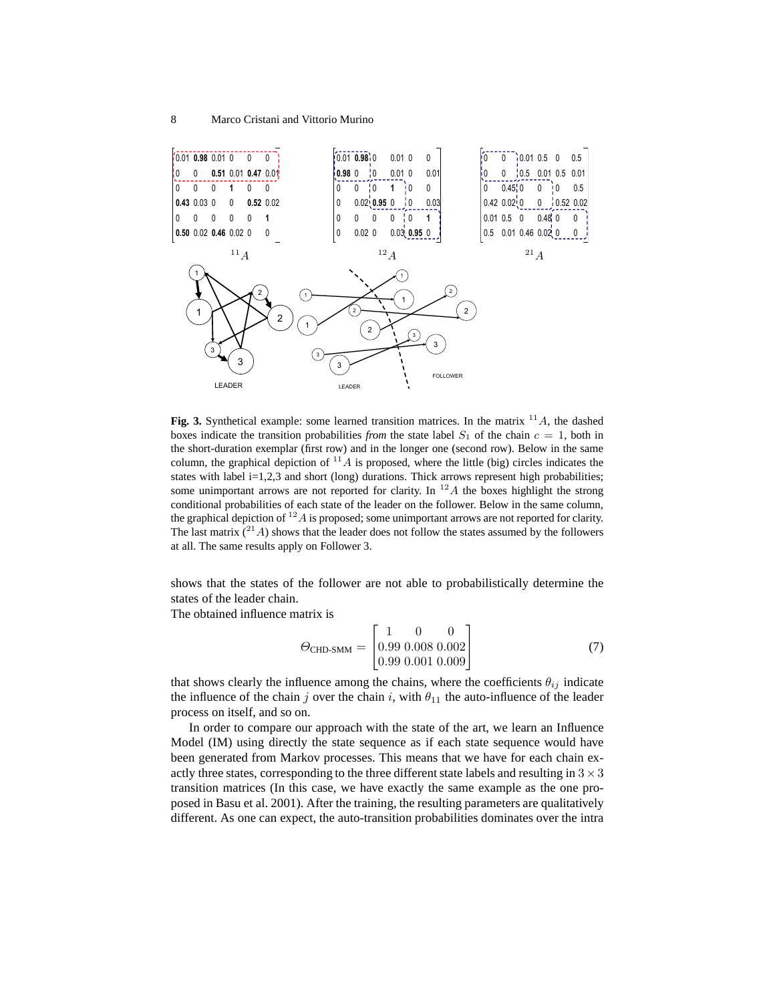

**Fig. 3.** Synthetical example: some learned transition matrices. In the matrix  $^{11}A$ , the dashed boxes indicate the transition probabilities *from* the state label  $S_1$  of the chain  $c = 1$ , both in the short-duration exemplar (first row) and in the longer one (second row). Below in the same column, the graphical depiction of  $^{11}A$  is proposed, where the little (big) circles indicates the states with label i=1,2,3 and short (long) durations. Thick arrows represent high probabilities; some unimportant arrows are not reported for clarity. In  $^{12}A$  the boxes highlight the strong conditional probabilities of each state of the leader on the follower. Below in the same column, the graphical depiction of  $^{12}A$  is proposed; some unimportant arrows are not reported for clarity. The last matrix  $(^{21}A)$  shows that the leader does not follow the states assumed by the followers at all. The same results apply on Follower 3.

shows that the states of the follower are not able to probabilistically determine the states of the leader chain.

The obtained influence matrix is

$$
\Theta_{\text{CHD-SMM}} = \begin{bmatrix} 1 & 0 & 0 \\ 0.99 & 0.008 & 0.002 \\ 0.99 & 0.001 & 0.009 \end{bmatrix}
$$
 (7)

that shows clearly the influence among the chains, where the coefficients  $\theta_{ij}$  indicate the influence of the chain j over the chain i, with  $\theta_{11}$  the auto-influence of the leader process on itself, and so on.

In order to compare our approach with the state of the art, we learn an Influence Model (IM) using directly the state sequence as if each state sequence would have been generated from Markov processes. This means that we have for each chain exactly three states, corresponding to the three different state labels and resulting in  $3 \times 3$ transition matrices (In this case, we have exactly the same example as the one proposed in Basu et al. 2001). After the training, the resulting parameters are qualitatively different. As one can expect, the auto-transition probabilities dominates over the intra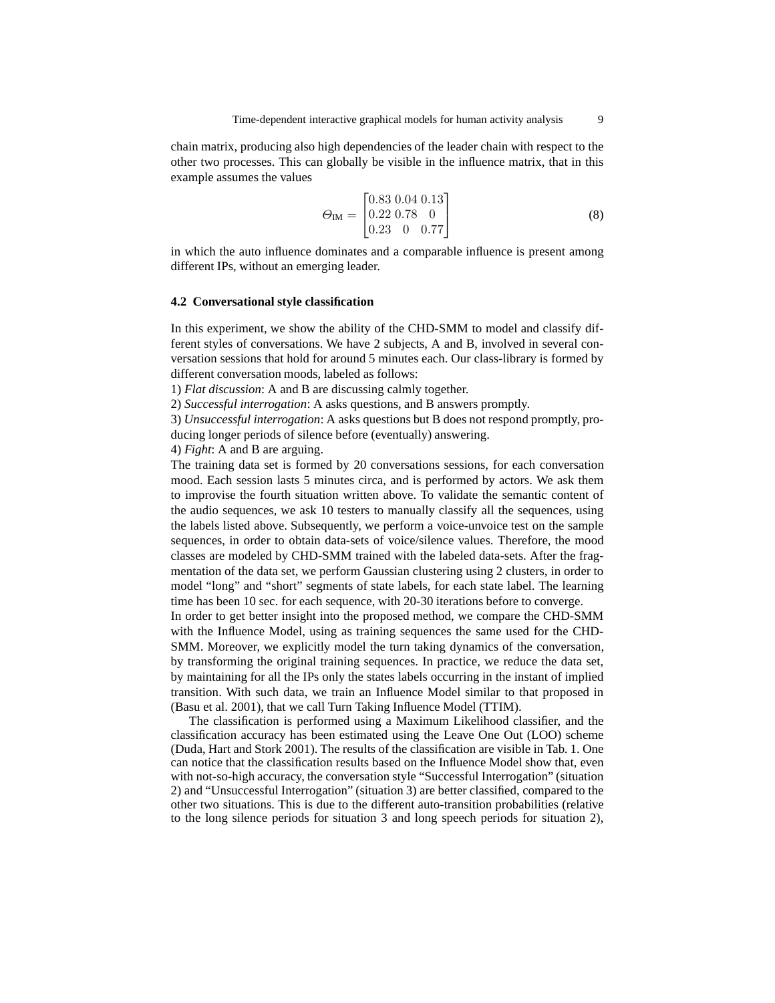chain matrix, producing also high dependencies of the leader chain with respect to the other two processes. This can globally be visible in the influence matrix, that in this example assumes the values

$$
\Theta_{\text{IM}} = \begin{bmatrix} 0.83 & 0.04 & 0.13 \\ 0.22 & 0.78 & 0 \\ 0.23 & 0 & 0.77 \end{bmatrix} \tag{8}
$$

in which the auto influence dominates and a comparable influence is present among different IPs, without an emerging leader.

#### **4.2 Conversational style classification**

In this experiment, we show the ability of the CHD-SMM to model and classify different styles of conversations. We have 2 subjects, A and B, involved in several conversation sessions that hold for around 5 minutes each. Our class-library is formed by different conversation moods, labeled as follows:

1) *Flat discussion*: A and B are discussing calmly together.

2) *Successful interrogation*: A asks questions, and B answers promptly.

3) *Unsuccessful interrogation*: A asks questions but B does not respond promptly, pro-

ducing longer periods of silence before (eventually) answering.

4) *Fight*: A and B are arguing.

The training data set is formed by 20 conversations sessions, for each conversation mood. Each session lasts 5 minutes circa, and is performed by actors. We ask them to improvise the fourth situation written above. To validate the semantic content of the audio sequences, we ask 10 testers to manually classify all the sequences, using the labels listed above. Subsequently, we perform a voice-unvoice test on the sample sequences, in order to obtain data-sets of voice/silence values. Therefore, the mood classes are modeled by CHD-SMM trained with the labeled data-sets. After the fragmentation of the data set, we perform Gaussian clustering using 2 clusters, in order to model "long" and "short" segments of state labels, for each state label. The learning time has been 10 sec. for each sequence, with 20-30 iterations before to converge.

In order to get better insight into the proposed method, we compare the CHD-SMM with the Influence Model, using as training sequences the same used for the CHD-SMM. Moreover, we explicitly model the turn taking dynamics of the conversation, by transforming the original training sequences. In practice, we reduce the data set, by maintaining for all the IPs only the states labels occurring in the instant of implied transition. With such data, we train an Influence Model similar to that proposed in (Basu et al. 2001), that we call Turn Taking Influence Model (TTIM).

The classification is performed using a Maximum Likelihood classifier, and the classification accuracy has been estimated using the Leave One Out (LOO) scheme (Duda, Hart and Stork 2001). The results of the classification are visible in Tab. 1. One can notice that the classification results based on the Influence Model show that, even with not-so-high accuracy, the conversation style "Successful Interrogation" (situation 2) and "Unsuccessful Interrogation" (situation 3) are better classified, compared to the other two situations. This is due to the different auto-transition probabilities (relative to the long silence periods for situation 3 and long speech periods for situation 2),